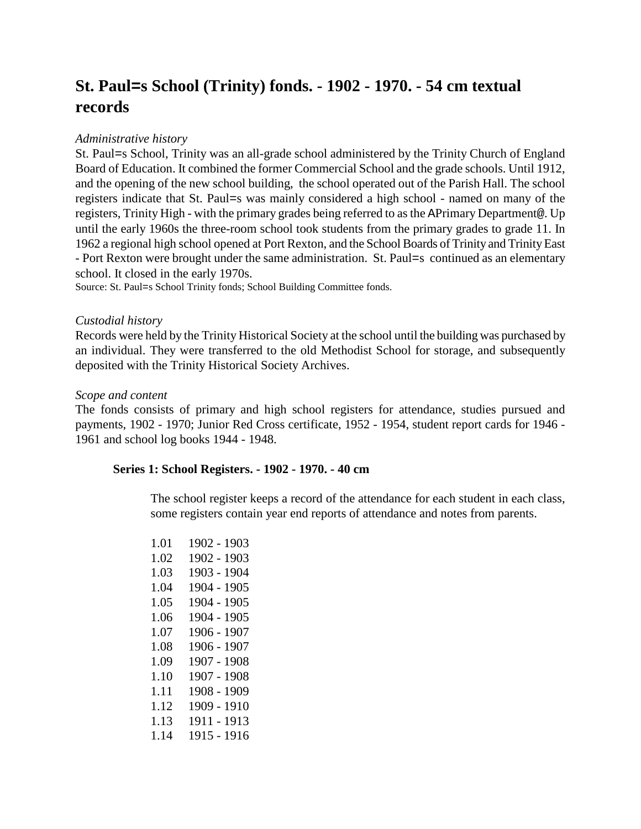# **St. Paul=s School (Trinity) fonds. - 1902 - 1970. - 54 cm textual records**

## *Administrative history*

St. Paul=s School, Trinity was an all-grade school administered by the Trinity Church of England Board of Education. It combined the former Commercial School and the grade schools. Until 1912, and the opening of the new school building, the school operated out of the Parish Hall. The school registers indicate that St. Paul=s was mainly considered a high school - named on many of the registers, Trinity High - with the primary grades being referred to as the APrimary Department@. Up until the early 1960s the three-room school took students from the primary grades to grade 11. In 1962 a regional high school opened at Port Rexton, and the School Boards of Trinity and Trinity East - Port Rexton were brought under the same administration. St. Paul=s continued as an elementary school. It closed in the early 1970s.

Source: St. Paul=s School Trinity fonds; School Building Committee fonds.

#### *Custodial history*

Records were held by the Trinity Historical Society at the school until the building was purchased by an individual. They were transferred to the old Methodist School for storage, and subsequently deposited with the Trinity Historical Society Archives.

#### *Scope and content*

The fonds consists of primary and high school registers for attendance, studies pursued and payments, 1902 - 1970; Junior Red Cross certificate, 1952 - 1954, student report cards for 1946 - 1961 and school log books 1944 - 1948.

## **Series 1: School Registers. - 1902 - 1970. - 40 cm**

The school register keeps a record of the attendance for each student in each class, some registers contain year end reports of attendance and notes from parents.

1.01 1902 - 1903 1.02 1902 - 1903 1.03 1903 - 1904 1.04 1904 - 1905 1.05 1904 - 1905 1.06 1904 - 1905 1.07 1906 - 1907 1.08 1906 - 1907 1.09 1907 - 1908 1.10 1907 - 1908 1.11 1908 - 1909 1.12 1909 - 1910 1.13 1911 - 1913 1.14 1915 - 1916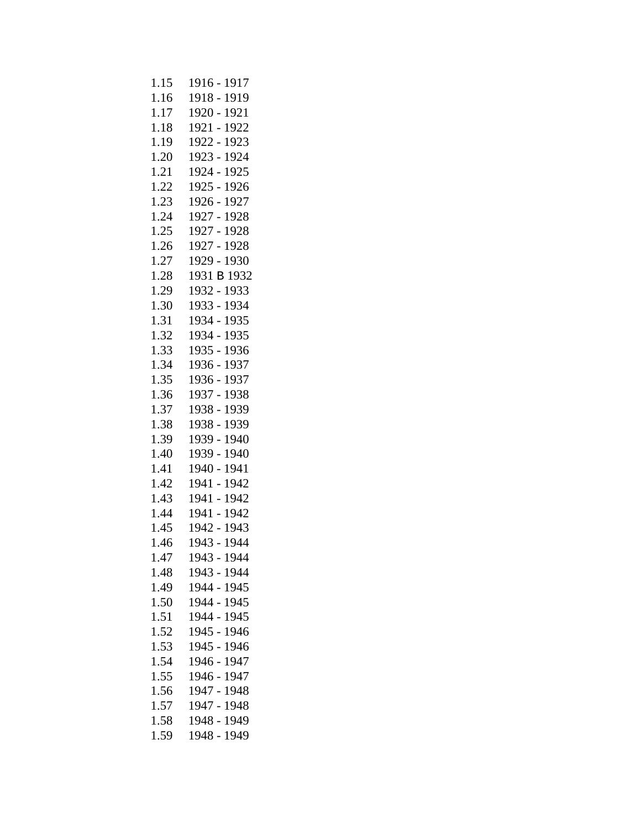| 1.15 | 1916 - 1917    |
|------|----------------|
| 1.16 | 1918 - 1919    |
| 1.17 | 1920 - 1921    |
| 1.18 | 1921 - 1922    |
| 1.19 | 1922 - 1923    |
| 1.20 | 1923 - 1924    |
| 1.21 | 1924 - 1925    |
| 1.22 | 1925 - 1926    |
| 1.23 | 1926 - 1927    |
| 1.24 | 1927 - 1928    |
| 1.25 | 1927 - 1928    |
| 1.26 | 1927 - 1928    |
| 1.27 | 1929 - 1930    |
| 1.28 | 1931 B 1932    |
| 1.29 | 1932 - 1933    |
| 1.30 | 1933 - 1934    |
| 1.31 | 1934 - 1935    |
| 1.32 | 1934 - 1935    |
| 1.33 | 1935 - 1936    |
| 1.34 | 1936 - 1937    |
| 1.35 | 1936 - 1937    |
| 1.36 | 1937 - 1938    |
| 1.37 | 1938 - 1939    |
| 1.38 | 1938 - 1939    |
| 1.39 | 1939 - 1940    |
| 1.40 | 1939 - 1940    |
| 1.41 | 1940 - 1941    |
| 1.42 | 1941 - 1942    |
| 1.43 | 1941 - 1942    |
| 1.44 | 1941 - 1942    |
| 1.45 | 1942 - 1943    |
| 1.46 | 1943 - 1944    |
| 1.47 | 1943 - 1944    |
| 1.48 | 1943 - 1944    |
| 1.49 | 1944 - 1945    |
| 1.50 | 1944 - 1945    |
| 1.51 | 1944 -<br>1945 |
| 1.52 | 1945 -<br>1946 |
| 1.53 | 1945 - 1946    |
| 1.54 | 1946 -<br>1947 |
| 1.55 | 1946 - 1947    |
| 1.56 | 1947 - 1948    |
| 1.57 | 1947 - 1948    |
| 1.58 | 1948 - 1949    |
| 1.59 | 1948 - 1949    |